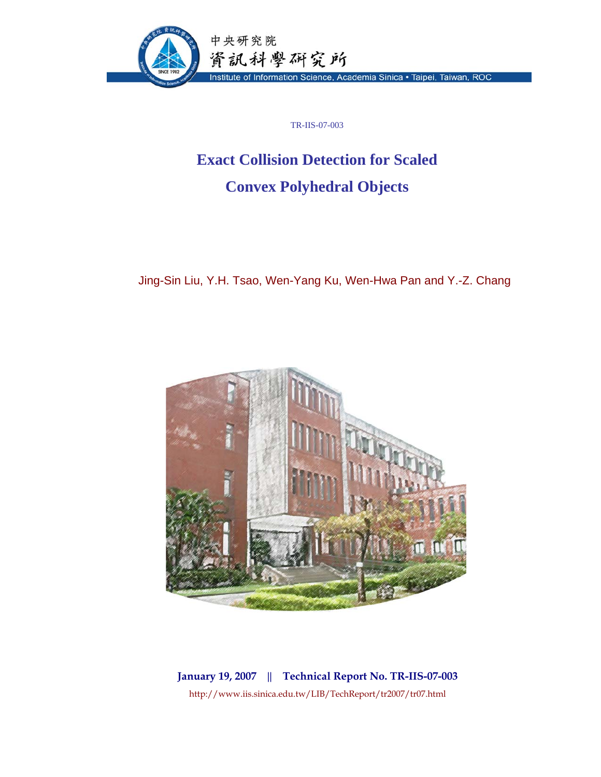

TR-IIS-07-003

# **Exact Collision Detection for Scaled Convex Polyhedral Objects**

Jing-Sin Liu, Y.H. Tsao, Wen-Yang Ku, Wen-Hwa Pan and Y.-Z. Chang



**January 19, 2007 || Technical Report No. TR-IIS-07-003**  http://www.iis.sinica.edu.tw/LIB/TechReport/tr2007/tr07.html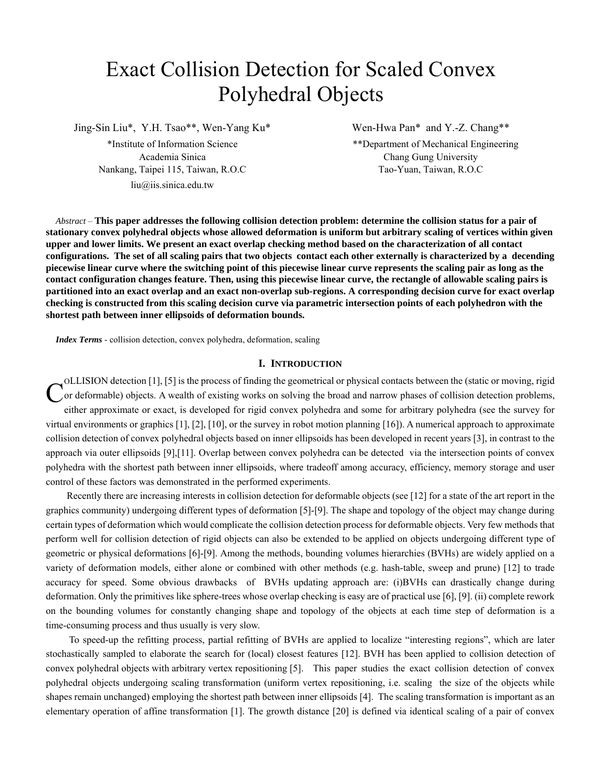# Exact Collision Detection for Scaled Convex Polyhedral Objects

Jing-Sin Liu\*, Y.H. Tsao\*\*, Wen-Yang Ku\* Wen-Hwa Pan\* and Y.-Z. Chang\*\*

Nankang, Taipei 115, Taiwan, R.O.C Tao-Yuan, Taiwan, R.O.C Tao-Yuan, Taiwan, R.O.C liu@iis.sinica.edu.tw

\*Institute of Information Science \*\*Department of Mechanical Engineering Academia Sinica Chang Gung University

*Abstract* – **This paper addresses the following collision detection problem: determine the collision status for a pair of stationary convex polyhedral objects whose allowed deformation is uniform but arbitrary scaling of vertices within given upper and lower limits. We present an exact overlap checking method based on the characterization of all contact configurations. The set of all scaling pairs that two objects contact each other externally is characterized by a decending piecewise linear curve where the switching point of this piecewise linear curve represents the scaling pair as long as the contact configuration changes feature. Then, using this piecewise linear curve, the rectangle of allowable scaling pairs is partitioned into an exact overlap and an exact non-overlap sub-regions. A corresponding decision curve for exact overlap checking is constructed from this scaling decision curve via parametric intersection points of each polyhedron with the shortest path between inner ellipsoids of deformation bounds.** 

*Index Terms* - collision detection, convex polyhedra, deformation, scaling

## **I. INTRODUCTION**

OLLISION detection [1], [5] is the process of finding the geometrical or physical contacts between the (static or moving, rigid or deformable) objects. A wealth of existing works on solving the broad and narrow phases of collision detection problems, either approximate or exact, is developed for rigid convex polyhedra and some for arbitrary polyhedra (see the survey for virtual environments or graphics [1], [2], [10], or the survey in robot motion planning [16]). A numerical approach to approximate collision detection of convex polyhedral objects based on inner ellipsoids has been developed in recent years [3], in contrast to the approach via outer ellipsoids [9],[11]. Overlap between convex polyhedra can be detected via the intersection points of convex polyhedra with the shortest path between inner ellipsoids, where tradeoff among accuracy, efficiency, memory storage and user control of these factors was demonstrated in the performed experiments. C

Recently there are increasing interests in collision detection for deformable objects (see [12] for a state of the art report in the graphics community) undergoing different types of deformation [5]-[9]. The shape and topology of the object may change during certain types of deformation which would complicate the collision detection process for deformable objects. Very few methods that perform well for collision detection of rigid objects can also be extended to be applied on objects undergoing different type of geometric or physical deformations [6]-[9]. Among the methods, bounding volumes hierarchies (BVHs) are widely applied on a variety of deformation models, either alone or combined with other methods (e.g. hash-table, sweep and prune) [12] to trade accuracy for speed. Some obvious drawbacks of BVHs updating approach are: (i)BVHs can drastically change during deformation. Only the primitives like sphere-trees whose overlap checking is easy are of practical use [6], [9]. (ii) complete rework on the bounding volumes for constantly changing shape and topology of the objects at each time step of deformation is a time-consuming process and thus usually is very slow.

 To speed-up the refitting process, partial refitting of BVHs are applied to localize "interesting regions", which are later stochastically sampled to elaborate the search for (local) closest features [12]. BVH has been applied to collision detection of convex polyhedral objects with arbitrary vertex repositioning [5]. This paper studies the exact collision detection of convex polyhedral objects undergoing scaling transformation (uniform vertex repositioning, i.e. scaling the size of the objects while shapes remain unchanged) employing the shortest path between inner ellipsoids [4]. The scaling transformation is important as an elementary operation of affine transformation [1]. The growth distance [20] is defined via identical scaling of a pair of convex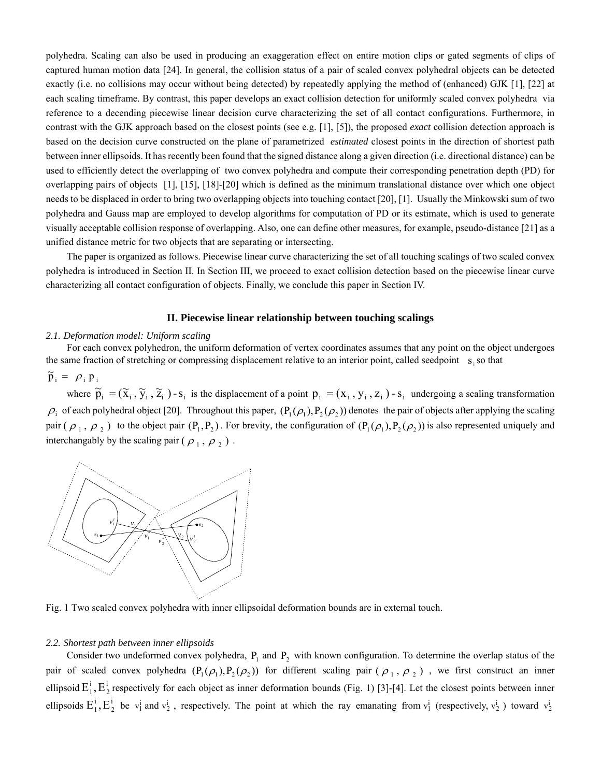polyhedra. Scaling can also be used in producing an exaggeration effect on entire motion clips or gated segments of clips of captured human motion data [24]. In general, the collision status of a pair of scaled convex polyhedral objects can be detected exactly (i.e. no collisions may occur without being detected) by repeatedly applying the method of (enhanced) GJK [1], [22] at each scaling timeframe. By contrast, this paper develops an exact collision detection for uniformly scaled convex polyhedra via reference to a decending piecewise linear decision curve characterizing the set of all contact configurations. Furthermore, in contrast with the GJK approach based on the closest points (see e.g. [1], [5]), the proposed *exact* collision detection approach is based on the decision curve constructed on the plane of parametrized *estimated* closest points in the direction of shortest path between inner ellipsoids. It has recently been found that the signed distance along a given direction (i.e. directional distance) can be used to efficiently detect the overlapping of two convex polyhedra and compute their corresponding penetration depth (PD) for overlapping pairs of objects [1], [15], [18]-[20] which is defined as the minimum translational distance over which one object needs to be displaced in order to bring two overlapping objects into touching contact [20], [1]. Usually the Minkowski sum of two polyhedra and Gauss map are employed to develop algorithms for computation of PD or its estimate, which is used to generate visually acceptable collision response of overlapping. Also, one can define other measures, for example, pseudo-distance [21] as a unified distance metric for two objects that are separating or intersecting.

The paper is organized as follows. Piecewise linear curve characterizing the set of all touching scalings of two scaled convex polyhedra is introduced in Section II. In Section III, we proceed to exact collision detection based on the piecewise linear curve characterizing all contact configuration of objects. Finally, we conclude this paper in Section IV.

## **II. Piecewise linear relationship between touching scalings**

#### *2.1. Deformation model: Uniform scaling*

For each convex polyhedron, the uniform deformation of vertex coordinates assumes that any point on the object undergoes the same fraction of stretching or compressing displacement relative to an interior point, called seedpoint  $s_i$  so that

 $\widetilde{p}_i = \rho_i p_i$ 

where  $\tilde{p}_i = (\tilde{x}_i, \tilde{y}_i, \tilde{z}_i)$  -  $s_i$  is the displacement of a point  $p_i = (x_i, y_i, z_i)$  -  $s_i$  undergoing a scaling transformation  $\rho_i$  of each polyhedral object [20]. Throughout this paper,  $(P_1(\rho_1), P_2(\rho_2))$  denotes the pair of objects after applying the scaling pair  $(\rho_1, \rho_2)$  to the object pair  $(P_1, P_2)$ . For brevity, the configuration of  $(P_1(\rho_1), P_2(\rho_2))$  is also represented uniquely and interchangably by the scaling pair ( $\rho_1$ ,  $\rho_2$ ).



Fig. 1 Two scaled convex polyhedra with inner ellipsoidal deformation bounds are in external touch.

### *2.2. Shortest path between inner ellipsoids*

Consider two undeformed convex polyhedra,  $P_1$  and  $P_2$  with known configuration. To determine the overlap status of the pair of scaled convex polyhedra  $(P_1(\rho_1), P_2(\rho_2))$  for different scaling pair  $(\rho_1, \rho_2)$ , we first construct an inner ellipsoid  $E_1^i$ ,  $E_2^i$  respectively for each object as inner deformation bounds (Fig. 1) [3]-[4]. Let the closest points between inner ellipsoids  $E_1^i$ ,  $E_2^i$  be  $v_1^i$  and  $v_2^i$ , respectively. The point at which the ray emanating from  $v_1^i$  (respectively,  $v_2^i$ ) toward  $v_2^i$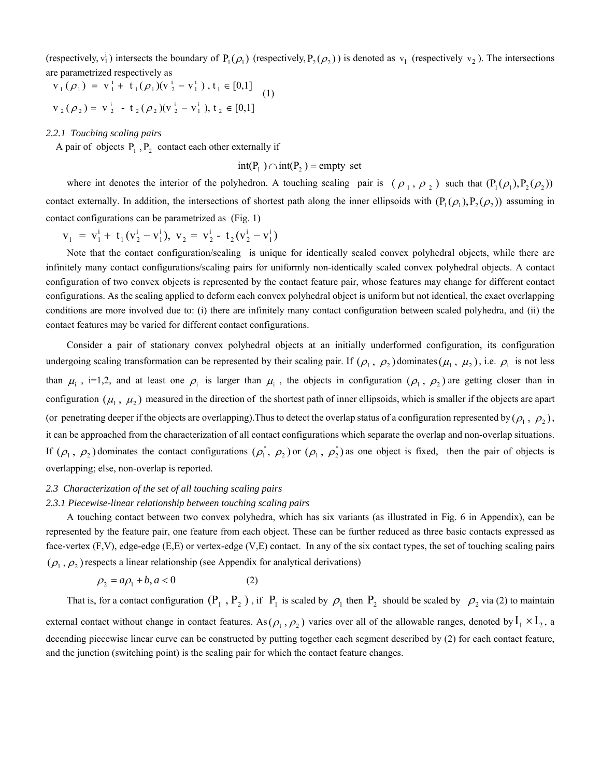(respectively,  $v_1^i$ ) intersects the boundary of  $P_1(\rho_1)$  (respectively,  $P_2(\rho_2)$ ) is denoted as  $v_1$  (respectively  $v_2$ ). The intersections are parametrized respectively as

$$
v_1(\rho_1) = v_1^i + t_1(\rho_1)(v_2^i - v_1^i), t_1 \in [0,1]
$$
  
\n
$$
v_2(\rho_2) = v_2^i - t_2(\rho_2)(v_2^i - v_1^i), t_2 \in [0,1]
$$
 (1)

*2.2.1 Touching scaling pairs* 

A pair of objects  $P_1$ ,  $P_2$  contact each other externally if

 $int(P_1) \cap int(P_2) =$  empty set

where int denotes the interior of the polyhedron. A touching scaling pair is  $(\rho_1, \rho_2)$  such that  $(P_1(\rho_1), P_2(\rho_2))$ contact externally. In addition, the intersections of shortest path along the inner ellipsoids with  $(P_1(\rho_1), P_2(\rho_2))$  assuming in contact configurations can be parametrized as (Fig. 1)

$$
v_1 = v_1^i + t_1(v_2^i - v_1^i), v_2 = v_2^i - t_2(v_2^i - v_1^i)
$$

Note that the contact configuration/scaling is unique for identically scaled convex polyhedral objects, while there are infinitely many contact configurations/scaling pairs for uniformly non-identically scaled convex polyhedral objects. A contact configuration of two convex objects is represented by the contact feature pair, whose features may change for different contact configurations. As the scaling applied to deform each convex polyhedral object is uniform but not identical, the exact overlapping conditions are more involved due to: (i) there are infinitely many contact configuration between scaled polyhedra, and (ii) the contact features may be varied for different contact configurations.

Consider a pair of stationary convex polyhedral objects at an initially underformed configuration, its configuration undergoing scaling transformation can be represented by their scaling pair. If  $(\rho_1, \rho_2)$  dominates  $(\mu_1, \mu_2)$ , i.e.  $\rho_i$  is not less than  $\mu_i$ , i=1,2, and at least one  $\rho_i$  is larger than  $\mu_i$ , the objects in configuration  $(\rho_1, \rho_2)$  are getting closer than in configuration  $(\mu_1, \mu_2)$  measured in the direction of the shortest path of inner ellipsoids, which is smaller if the objects are apart (or penetrating deeper if the objects are overlapping). Thus to detect the overlap status of a configuration represented by  $(\rho_1, \rho_2)$ , it can be approached from the characterization of all contact configurations which separate the overlap and non-overlap situations. If  $(\rho_1, \rho_2)$  dominates the contact configurations  $(\rho_1^*, \rho_2)$  or  $(\rho_1, \rho_2^*)$  as one object is fixed, then the pair of objects is overlapping; else, non-overlap is reported.

## *2.3 Characterization of the set of all touching scaling pairs*

## *2.3.1 Piecewise-linear relationship between touching scaling pairs*

A touching contact between two convex polyhedra, which has six variants (as illustrated in Fig. 6 in Appendix), can be represented by the feature pair, one feature from each object. These can be further reduced as three basic contacts expressed as face-vertex (F,V), edge-edge (E,E) or vertex-edge (V,E) contact. In any of the six contact types, the set of touching scaling pairs  $(\rho_1, \rho_2)$  respects a linear relationship (see Appendix for analytical derivations)

$$
\rho_2 = a\rho_1 + b, a < 0 \tag{2}
$$

That is, for a contact configuration  $(P_1, P_2)$ , if  $P_1$  is scaled by  $\rho_1$  then  $P_2$  should be scaled by  $\rho_2$  via (2) to maintain external contact without change in contact features. As  $(\rho_1, \rho_2)$  varies over all of the allowable ranges, denoted by  $I_1 \times I_2$ , a decending piecewise linear curve can be constructed by putting together each segment described by (2) for each contact feature, and the junction (switching point) is the scaling pair for which the contact feature changes.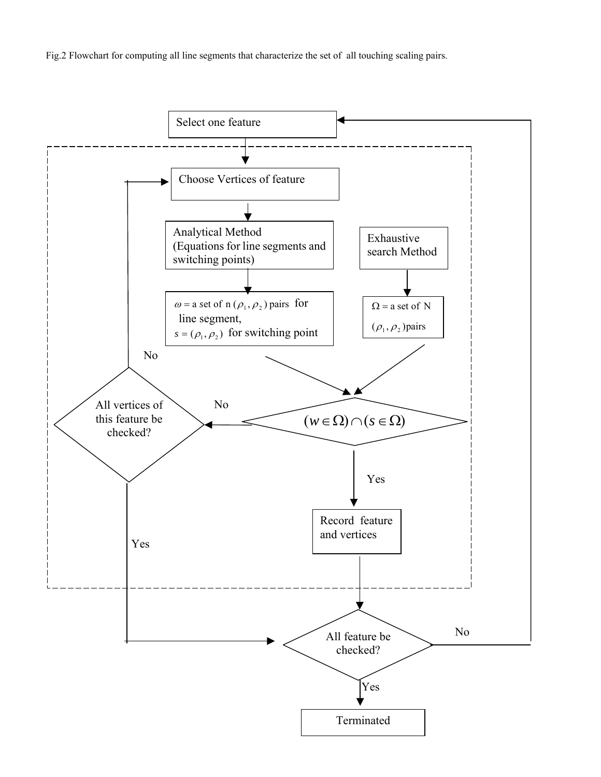Fig.2 Flowchart for computing all line segments that characterize the set of all touching scaling pairs.

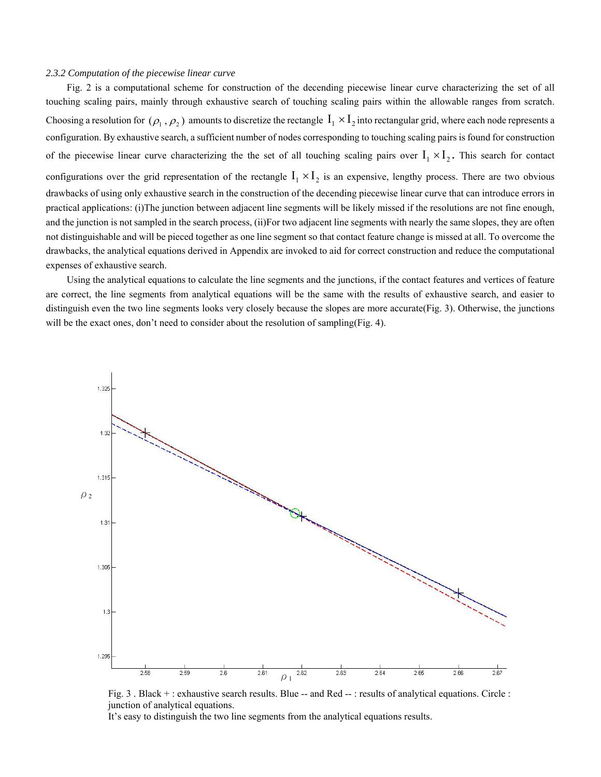#### *2.3.2 Computation of the piecewise linear curve*

Fig. 2 is a computational scheme for construction of the decending piecewise linear curve characterizing the set of all touching scaling pairs, mainly through exhaustive search of touching scaling pairs within the allowable ranges from scratch. Choosing a resolution for  $(\rho_1, \rho_2)$  amounts to discretize the rectangle  $I_1 \times I_2$  into rectangular grid, where each node represents a configuration. By exhaustive search, a sufficient number of nodes corresponding to touching scaling pairs is found for construction of the piecewise linear curve characterizing the the set of all touching scaling pairs over  $I_1 \times I_2$ . This search for contact configurations over the grid representation of the rectangle  $I_1 \times I_2$  is an expensive, lengthy process. There are two obvious drawbacks of using only exhaustive search in the construction of the decending piecewise linear curve that can introduce errors in practical applications: (i)The junction between adjacent line segments will be likely missed if the resolutions are not fine enough, and the junction is not sampled in the search process, (ii)For two adjacent line segments with nearly the same slopes, they are often not distinguishable and will be pieced together as one line segment so that contact feature change is missed at all. To overcome the drawbacks, the analytical equations derived in Appendix are invoked to aid for correct construction and reduce the computational expenses of exhaustive search.

Using the analytical equations to calculate the line segments and the junctions, if the contact features and vertices of feature are correct, the line segments from analytical equations will be the same with the results of exhaustive search, and easier to distinguish even the two line segments looks very closely because the slopes are more accurate(Fig. 3). Otherwise, the junctions will be the exact ones, don't need to consider about the resolution of sampling(Fig. 4).



Fig. 3. Black +: exhaustive search results. Blue -- and Red --: results of analytical equations. Circle : junction of analytical equations.

It's easy to distinguish the two line segments from the analytical equations results.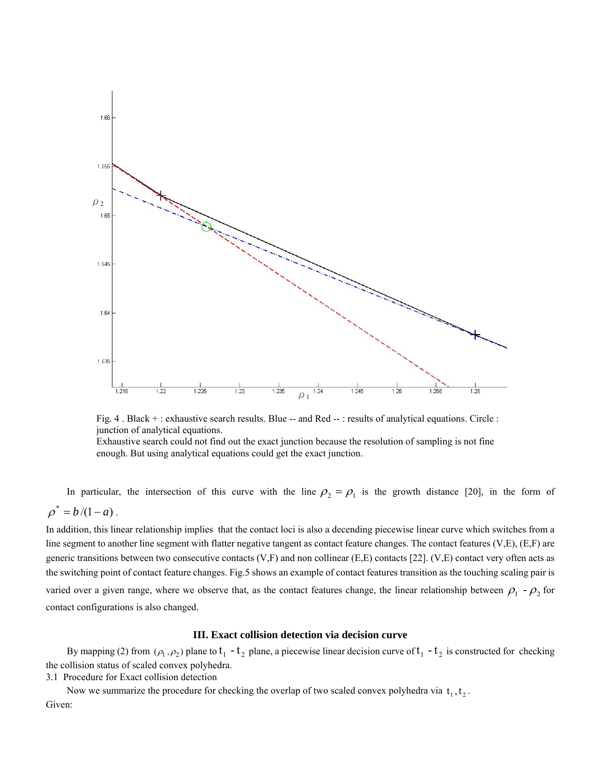

Fig. 4. Black +: exhaustive search results. Blue -- and Red --: results of analytical equations. Circle : junction of analytical equations. Exhaustive search could not find out the exact junction because the resolution of sampling is not fine enough. But using analytical equations could get the exact junction.

In particular, the intersection of this curve with the line  $\rho_2 = \rho_1$  is the growth distance [20], in the form of  $\rho^* = b / (1 - a)$ .

In addition, this linear relationship implies that the contact loci is also a decending piecewise linear curve which switches from a line segment to another line segment with flatter negative tangent as contact feature changes. The contact features  $(V,E)$ ,  $(E,F)$  are generic transitions between two consecutive contacts  $(V, F)$  and non collinear  $(E, E)$  contacts  $[22]$ .  $(V, E)$  contact very often acts as the switching point of contact feature changes. Fig.5 shows an example of contact features transition as the touching scaling pair is varied over a given range, where we observe that, as the contact features change, the linear relationship between  $\rho_1 - \rho_2$  for contact configurations is also changed.

#### **III. Exact collision detection via decision curve**

By mapping (2) from  $(\rho_1, \rho_2)$  plane to  $t_1 - t_2$  plane, a piecewise linear decision curve of  $t_1 - t_2$  is constructed for checking the collision status of scaled convex polyhedra.

3.1 Procedure for Exact collision detection

Now we summarize the procedure for checking the overlap of two scaled convex polyhedra via  $t_1, t_2$ . Given: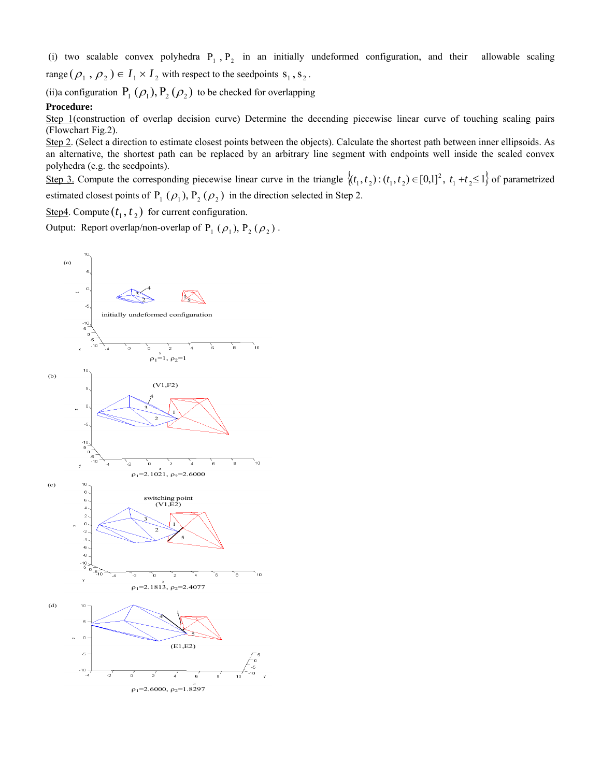(i) two scalable convex polyhedra  $P_1$ ,  $P_2$  in an initially undeformed configuration, and their allowable scaling range  $(\rho_1, \rho_2) \in I_1 \times I_2$  with respect to the seedpoints  $s_1, s_2$ .

(ii)a configuration  $P_1 (\rho_1), P_2 (\rho_2)$  to be checked for overlapping

## **Procedure:**

Step 1(construction of overlap decision curve) Determine the decending piecewise linear curve of touching scaling pairs (Flowchart Fig.2).

Step 2. (Select a direction to estimate closest points between the objects). Calculate the shortest path between inner ellipsoids. As an alternative, the shortest path can be replaced by an arbitrary line segment with endpoints well inside the scaled convex polyhedra (e.g. the seedpoints).

Step 3. Compute the corresponding piecewise linear curve in the triangle  $\{(t_1, t_2) : (t_1, t_2) \in [0,1]^2, t_1 + t_2 \le 1\}$  of parametrized estimated closest points of  $P_1 (\rho_1)$ ,  $P_2 (\rho_2)$  in the direction selected in Step 2.

<u>Step4</u>. Compute  $(t_1, t_2)$  for current configuration.

Output: Report overlap/non-overlap of  $P_1$  ( $\rho_1$ ),  $P_2$  ( $\rho_2$ ).

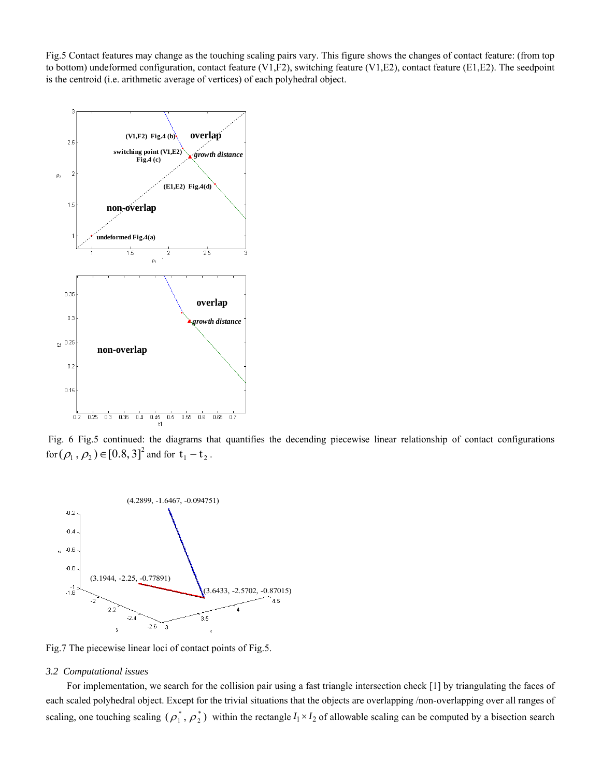Fig.5 Contact features may change as the touching scaling pairs vary. This figure shows the changes of contact feature: (from top to bottom) undeformed configuration, contact feature (V1,F2), switching feature (V1,E2), contact feature (E1,E2). The seedpoint is the centroid (i.e. arithmetic average of vertices) of each polyhedral object.



 Fig. 6 Fig.5 continued: the diagrams that quantifies the decending piecewise linear relationship of contact configurations for  $(\rho_1, \rho_2) \in [0.8, 3]^2$  and for  $t_1 - t_2$ .



Fig.7 The piecewise linear loci of contact points of Fig.5.

## *3.2 Computational issues*

For implementation, we search for the collision pair using a fast triangle intersection check [1] by triangulating the faces of each scaled polyhedral object. Except for the trivial situations that the objects are overlapping /non-overlapping over all ranges of scaling, one touching scaling  $(\rho_1^*, \rho_2^*)$  within the rectangle  $I_1 \times I_2$  of allowable scaling can be computed by a bisection search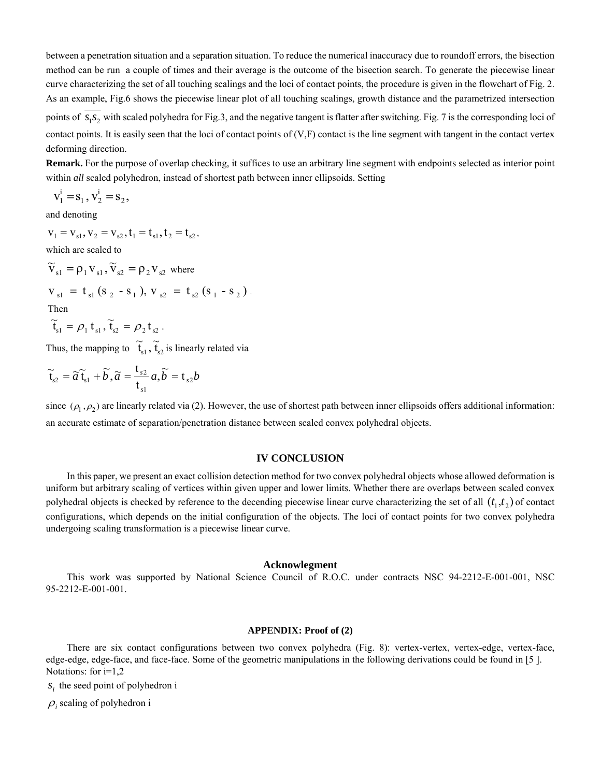between a penetration situation and a separation situation. To reduce the numerical inaccuracy due to roundoff errors, the bisection method can be run a couple of times and their average is the outcome of the bisection search. To generate the piecewise linear curve characterizing the set of all touching scalings and the loci of contact points, the procedure is given in the flowchart of Fig. 2. As an example, Fig.6 shows the piecewise linear plot of all touching scalings, growth distance and the parametrized intersection

points of  $s_1 s_2$  with scaled polyhedra for Fig.3, and the negative tangent is flatter after switching. Fig. 7 is the corresponding loci of contact points. It is easily seen that the loci of contact points of  $(V, F)$  contact is the line segment with tangent in the contact vertex deforming direction.

**Remark.** For the purpose of overlap checking, it suffices to use an arbitrary line segment with endpoints selected as interior point within *all* scaled polyhedron, instead of shortest path between inner ellipsoids. Setting

$$
v_1^i = s_1, v_2^i = s_2,
$$

and denoting

$$
v_{_1}\,{=}\,v_{_{s1}},v_{_2}\,{=}\,v_{_{s2}},t_{_1}\,{=}\,t_{_{s1}},t_{_2}\,{=}\,t_{_{s2}},
$$

which are scaled to

 $\widetilde{V}_{s1} = \rho_1 V_{s1}, \widetilde{V}_{s2} = \rho_2 V_{s2}$  where

$$
v_{s1} = t_{s1} (s_2 - s_1), v_{s2} = t_{s2} (s_1 - s_2).
$$

Then

 $\widetilde{t}_{s1} = \rho_1 t_{s1}, \widetilde{t}_{s2} = \rho_2 t_{s2}.$ 

Thus, the mapping to  $\tilde{t}_{s1}$ ,  $\tilde{t}_{s2}$  is linearly related via

$$
\widetilde{\mathfrak{t}}_{s2} = \widetilde{a}\,\widetilde{\mathfrak{t}}_{s1} + \widetilde{b}\,, \widetilde{a} = \frac{\mathfrak{t}_{s2}}{\mathfrak{t}_{s1}}a, \widetilde{b} = \mathfrak{t}_{s2}b
$$

since  $(\rho_1, \rho_2)$  are linearly related via (2). However, the use of shortest path between inner ellipsoids offers additional information: an accurate estimate of separation/penetration distance between scaled convex polyhedral objects.

## **IV CONCLUSION**

In this paper, we present an exact collision detection method for two convex polyhedral objects whose allowed deformation is uniform but arbitrary scaling of vertices within given upper and lower limits. Whether there are overlaps between scaled convex polyhedral objects is checked by reference to the decending piecewise linear curve characterizing the set of all  $(t_1, t_2)$  of contact configurations, which depends on the initial configuration of the objects. The loci of contact points for two convex polyhedra undergoing scaling transformation is a piecewise linear curve.

## **Acknowlegment**

This work was supported by National Science Council of R.O.C. under contracts NSC 94-2212-E-001-001, NSC 95-2212-E-001-001.

## **APPENDIX: Proof of (2)**

There are six contact configurations between two convex polyhedra (Fig. 8): vertex-vertex, vertex-edge, vertex-face, edge-edge, edge-face, and face-face. Some of the geometric manipulations in the following derivations could be found in [5 ]. Notations: for  $i=1,2$ 

*s*, the seed point of polyhedron i

 $\rho_i$  scaling of polyhedron i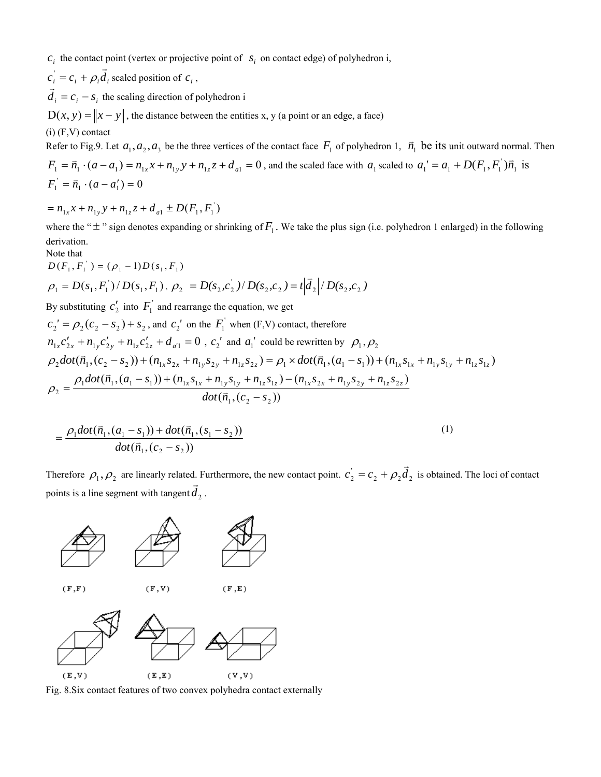$c_i$  the contact point (vertex or projective point of  $s_i$  on contact edge) of polyhedron i,

 $c_i = c_i + \rho_i \vec{d}_i$  scaled position of  $c_i$ ,

 $\vec{d}_i = c_i - s_i$  the scaling direction of polyhedron i

 $D(x, y) = ||x - y||$ , the distance between the entities x, y (a point or an edge, a face)

(i) (F,V) contact

Refer to Fig.9. Let  $a_1, a_2, a_3$  be the three vertices of the contact face  $F_1$  of polyhedron 1,  $\vec{n}_1$  be its unit outward normal. Then

 $F_1 = \vec{n}_1 \cdot (a - a_1) = n_{1x}x + n_{1y}y + n_{1z}z + d_{a1} = 0$ , and the scaled face with  $a_1$  scaled to  $a_1' = a_1 + D(F_1, F_1) \vec{n}_1$  is  $F_1^{\prime} = \vec{n}_1 \cdot (a - a_1^{\prime}) = 0$ 

 $= n_{1x}x + n_{1y}y + n_{1z}z + d_{a1} \pm D(F_1, F_1)$ 

where the " $\pm$ " sign denotes expanding or shrinking of  $F_1$ . We take the plus sign (i.e. polyhedron 1 enlarged) in the following derivation.

Note that

$$
D(F_1, F_1) = (\rho_1 - 1)D(s_1, F_1)
$$
  
\n
$$
\rho_1 = D(s_1, F_1) / D(s_1, F_1), \rho_2 = D(s_2, c_2) / D(s_2, c_2) = t | \vec{d}_2 | / D(s_2, c_2)
$$
  
\nBy substituting  $c_2$  into  $F_1$  and rearrange the equation, we get  
\n
$$
c_2' = \rho_2 (c_2 - s_2) + s_2
$$
, and  $c_2'$  on the  $F_1$  when (F,V) contact, therefore  
\n
$$
n_{1x}c_{2x}' + n_{1y}c_{2y}' + n_{1z}c_{2z}' + d_{a'1} = 0
$$
,  $c_2'$  and  $a_1'$  could be rewritten by  $\rho_1, \rho_2$   
\n
$$
\rho_2 dot(\vec{n}_1, (c_2 - s_2)) + (n_{1x}s_{2x} + n_{1y}s_{2y} + n_{1z}s_{2z}) = \rho_1 \times dot(\vec{n}_1, (a_1 - s_1)) + (n_{1x}s_{1x} + n_{1y}s_{1y} + n_{1z}s_{1z})
$$

$$
\rho_2 = \frac{\rho_1 \text{dot}(\bar{n}_1,(a_1 - s_1)) + (n_{1x}s_{1x} + n_{1y}s_{1y} + n_{1z}s_{1z}) - (n_{1x}s_{2x} + n_{1y}s_{2y} + n_{1z}s_{2z})}{\text{dot}(\bar{n}_1,(c_2 - s_2))}
$$

$$
=\frac{\rho_1 dot(\bar{n}_1,(a_1-s_1))+dot(\bar{n}_1,(s_1-s_2))}{dot(\bar{n}_1,(c_2-s_2))}
$$
\n(1)

Therefore  $\rho_1, \rho_2$  are linearly related. Furthermore, the new contact point.  $c_2 = c_2 + \rho_2 \vec{d}_2$  is obtained. The loci of contact points is a line segment with tangent  $\vec{d}_2$ .



Fig. 8.Six contact features of two convex polyhedra contact externally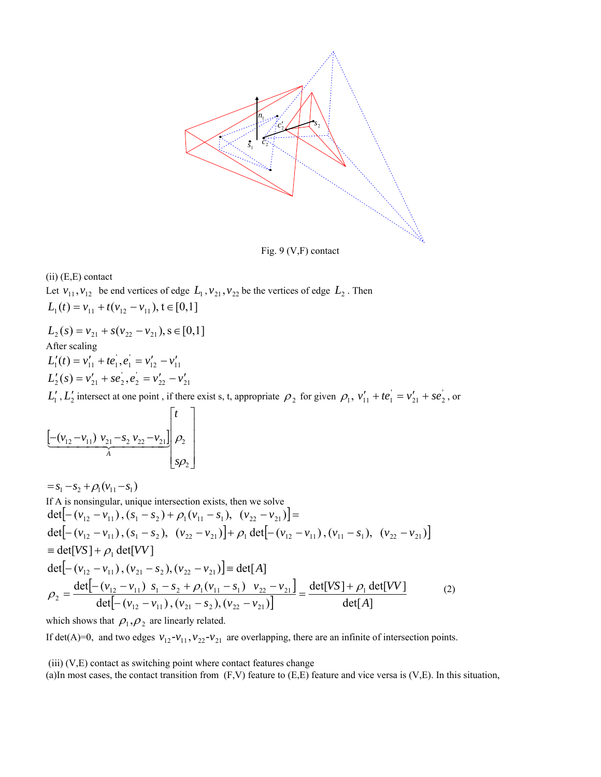

Fig. 9 (V,F) contact

(ii) (E,E) contact

Let  $v_{11}$ ,  $v_{12}$  be end vertices of edge  $L_1$ ,  $v_{21}$ ,  $v_{22}$  be the vertices of edge  $L_2$ . Then  $L_1(t) = v_{11} + t(v_{12} - v_{11}), t \in [0,1]$ 

 $L_2(s) = v_{21} + s(v_{22} - v_{21}), s \in [0,1]$ After scaling  $L'_1(t) = v'_{11} + te'_1, e'_1 = v'_{12} - v'_{11}$  $L'_{2}(s) = v'_{21} + se'_{2}, e'_{2} = v'_{22} - v'_{21}$ 

 $L'_1$ ,  $L'_2$  intersect at one point, if there exist s, t, appropriate  $\rho_2$  for given  $\rho_1$ ,  $v'_{11} + te_1 = v'_{21} + se_2$ , or

$$
\underbrace{\left[-(v_{12}-v_{11})\,v_{21}-s_2\,v_{22}-v_{21}\right]}_{A}\begin{bmatrix} t \\ \rho_2 \\ \rho_2 \end{bmatrix}
$$

 $= s_1 - s_2 + \rho_1 (v_{11} - s_1)$ If A is nonsingular, unique intersection exists, then we solve  $\det [ - (v_{12} - v_{11}), (s_1 - s_2) + \rho_1 (v_{11} - s_1), (v_{22} - v_{21}) ] =$  $\det[-(v_{12} - v_{11}), (s_1 - s_2), (v_{22} - v_{21})] + \rho_1 \det[-(v_{12} - v_{11}), (v_{11} - s_1), (v_{22} - v_{21})]$  $det[-(v_{12} - v_{11}), (v_{21} - s_2), (v_{22} - v_{21})]$  =  $det[A]$  $\begin{vmatrix} -(\nu_{12} - \nu_{11}) & s_1 - s_2 + \rho_1(\nu_{11} - \nu_{12}) & \nu_{22} - \nu_{21} \end{vmatrix}$  $[-(v_{12}-v_{11}), (v_{21}-s_2), (v_{22}-v_{21})]$  det[A]  $det[VS] + \rho_1 det[VV]$ det $\left( -\left( v_{12} - v_{11} \right) , \left( v_{21} - s_2 \right) , \left( v_{22} - v_{21} \right) \right)$ det $[ -(v_{12} - v_{11}) s_1 - s_2 + \rho_1 (v_{11} - s_1) v_{22} - v_{21} ]$  det[VS] +  $\rho_1$  $\equiv det[VS] + \rho_1 det[VV]$  $_{12}$   $\cdots$   $_{11}$   $\cdots$   $_{21}$   $\cdots$   $_{2}$   $\cdots$   $_{22}$   $\cdots$   $_{21}$  $\sigma_2 = \frac{\det[\left( \frac{V_{12}}{V_{12}} - \frac{V_{11}}{V_{11}} \right) \cdot \left( \frac{V_{21}}{V_{21}} - \frac{S_2}{V_{21}} \right) \cdot \left( \frac{V_{22}}{V_{22}} - \frac{V_{21}}{V_{21}} \right)]}{\det[A]} = \frac{\det[\left( \frac{V_{12}}{V_{21}} - \frac{V_{11}}{V_{21}} \right) \cdot \left( \frac{V_{22}}{V_{21}} - \frac{V_{21}}{V_{21}} \right)]}{\det[A]}$  $[VS] + \rho_1 \det[VV]$  $v_{12} - v_{11}$ ),  $(v_{21} - s_2)$ ,  $(v_{22} - v_1)$  $\rho_2 = \frac{\det[-(v_{12} - v_{11}) s_1 - s_2 + \rho_1(v_{11} - s_1) v_{22} - v_{21}]}{\det[-(v_{12} - v_{11}), (v_{21} - s_2), (v_{22} - v_{21})]} = \frac{\det[VS] + \rho_1(v_{11} - v_{21} - v_{21}]}{\det[-(v_{11} - v_{21}), (v_{21} - v_{21})]}$ (2)

which shows that  $\rho_1, \rho_2$  are linearly related.

If det(A)=0, and two edges  $v_{12} - v_{11}$ ,  $v_{22} - v_{21}$  are overlapping, there are an infinite of intersection points.

 $(iii)$   $(V,E)$  contact as switching point where contact features change

(a)In most cases, the contact transition from  $(F, V)$  feature to  $(E, E)$  feature and vice versa is  $(V, E)$ . In this situation,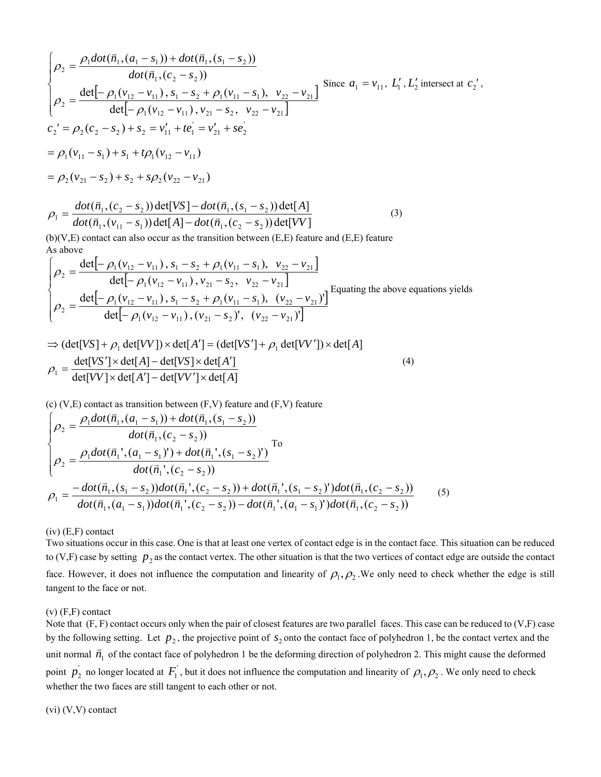$$
\begin{cases}\n\rho_2 = \frac{\rho_1 \text{dot}(\vec{n}_1, (a_1 - s_1)) + \text{dot}(\vec{n}_1, (s_1 - s_2))}{\text{dot}(\vec{n}_1, (c_2 - s_2))} \\
\rho_2 = \frac{\text{det}[-\rho_1(v_{12} - v_{11}), s_1 - s_2 + \rho_1(v_{11} - s_1), v_{22} - v_{21}]}{\text{det}[-\rho_1(v_{12} - v_{11}), v_{21} - s_2, v_{22} - v_{21}]} \\
c_2' = \rho_2(c_2 - s_2) + s_2 = v'_{11} + te'_1 = v'_{21} + se'_2 \\
= \rho_1(v_{11} - s_1) + s_1 + t\rho_1(v_{12} - v_{11}) \\
= \rho_2(v_{21} - s_2) + s_2 + s\rho_2(v_{22} - v_{21})\n\end{cases}
$$

$$
\rho_1 = \frac{dot(\vec{n}_1, (c_2 - s_2)) \det[VS] - dot(\vec{n}_1, (s_1 - s_2)) \det[A]}{dot(\vec{n}_1, (v_{11} - s_1)) \det[A] - dot(\vec{n}_1, (c_2 - s_2)) \det[VV]}
$$
\n(3)

(b)(V,E) contact can also occur as the transition between (E,E) feature and (E,E) feature As above

$$
\begin{cases}\n\rho_2 = \frac{\det[-\rho_1(v_{12} - v_{11}), s_1 - s_2 + \rho_1(v_{11} - s_1), v_{22} - v_{21}]}{\det[-\rho_1(v_{12} - v_{11}), v_{21} - s_2, v_{22} - v_{21}]} \\
\rho_2 = \frac{\det[-\rho_1(v_{12} - v_{11}), s_1 - s_2 + \rho_1(v_{11} - s_1), (v_{22} - v_{21})]}{\det[-\rho_1(v_{12} - v_{11}), (v_{21} - s_2)', (v_{22} - v_{21})]}\n\end{cases}
$$
Equating the above equations yields

$$
\Rightarrow (\det[VS] + \rho_1 \det[VV]) \times \det[A'] = (\det[VS'] + \rho_1 \det[VV']) \times \det[A]
$$
  

$$
\rho_1 = \frac{\det[VS'] \times \det[A] - \det[VS] \times \det[A']}{\det[VV] \times \det[A'] - \det[VV'] \times \det[A]}
$$
(4)

 $(c)$  (V,E) contact as transition between  $(F, V)$  feature and  $(F, V)$  feature

$$
\begin{cases}\n\rho_{2} = \frac{\rho_{1}dot(\vec{n}_{1},(a_{1}-s_{1}))+dot(\vec{n}_{1},(s_{1}-s_{2}))}{dot(\vec{n}_{1},(c_{2}-s_{2}))} \\
\rho_{2} = \frac{\rho_{1}dot(\vec{n}_{1},(a_{1}-s_{1}))+dot(\vec{n}_{1},(s_{1}-s_{2}))}{dot(\vec{n}_{1},(c_{2}-s_{2}))} \\
\rho_{1} = \frac{-dot(\vec{n}_{1},(s_{1}-s_{2}))dot(\vec{n}_{1},(c_{2}-s_{2})) +dot(\vec{n}_{1},(s_{1}-s_{2}))dot(\vec{n}_{1},(c_{2}-s_{2}))}{dot(\vec{n}_{1},(a_{1}-s_{1}))dot(\vec{n}_{1},(c_{2}-s_{2})) -dot(\vec{n}_{1},(a_{1}-s_{1}))dot(\vec{n}_{1},(c_{2}-s_{2}))}\n\end{cases} (5)
$$

(iv) (E,F) contact

Two situations occur in this case. One is that at least one vertex of contact edge is in the contact face. This situation can be reduced to (V,F) case by setting  $p_2$  as the contact vertex. The other situation is that the two vertices of contact edge are outside the contact face. However, it does not influence the computation and linearity of  $\rho_1, \rho_2$ . We only need to check whether the edge is still tangent to the face or not.

# (v) (F,F) contact

Note that (F, F) contact occurs only when the pair of closest features are two parallel faces. This case can be reduced to (V,F) case by the following setting. Let  $p_2$ , the projective point of  $s_2$  onto the contact face of polyhedron 1, be the contact vertex and the unit normal  $\vec{n}_1$  of the contact face of polyhedron 1 be the deforming direction of polyhedron 2. This might cause the deformed point  $p_2$  no longer located at  $F_1$ , but it does not influence the computation and linearity of  $\rho_1, \rho_2$ . We only need to check whether the two faces are still tangent to each other or not.

## (vi) (V,V) contact